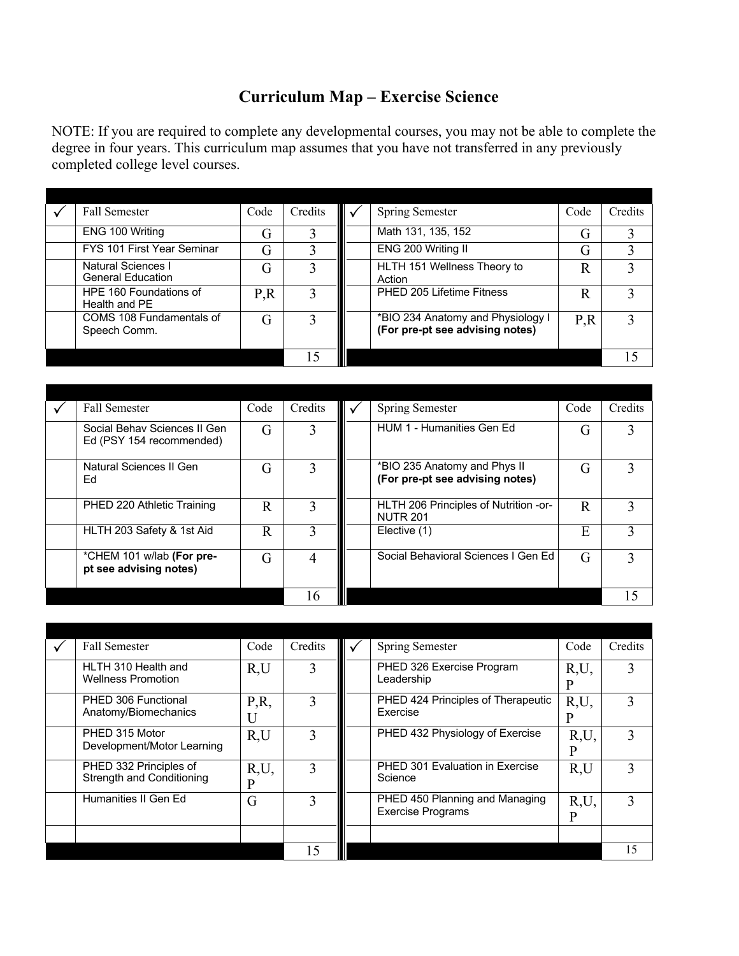## **Curriculum Map – Exercise Science**

NOTE: If you are required to complete any developmental courses, you may not be able to complete the degree in four years. This curriculum map assumes that you have not transferred in any previously completed college level courses.

| Fall Semester                                         | Code | Credits | <b>Spring Semester</b>                                               | Code | Credits |
|-------------------------------------------------------|------|---------|----------------------------------------------------------------------|------|---------|
| ENG 100 Writing                                       |      |         | Math 131, 135, 152                                                   | G    |         |
| FYS 101 First Year Seminar                            |      |         | ENG 200 Writing II                                                   | G    |         |
| <b>Natural Sciences I</b><br><b>General Education</b> | G    |         | HLTH 151 Wellness Theory to<br>Action                                | R    |         |
| HPE 160 Foundations of<br>Health and PE               | P.R  |         | PHED 205 Lifetime Fitness                                            | R    |         |
| COMS 108 Fundamentals of<br>Speech Comm.              |      |         | *BIO 234 Anatomy and Physiology I<br>(For pre-pt see advising notes) | P.R  |         |
|                                                       |      | 15      |                                                                      |      |         |

| <b>Fall Semester</b>                                     | Code | Credits | Spring Semester                                                 | Code | Credits |
|----------------------------------------------------------|------|---------|-----------------------------------------------------------------|------|---------|
| Social Behav Sciences II Gen<br>Ed (PSY 154 recommended) | G    | 3       | HUM 1 - Humanities Gen Ed                                       | G    |         |
| Natural Sciences II Gen<br>Ed                            | G    |         | *BIO 235 Anatomy and Phys II<br>(For pre-pt see advising notes) | G    | 3       |
| PHED 220 Athletic Training                               | R    | 3       | HLTH 206 Principles of Nutrition -or-<br><b>NUTR 201</b>        | R    |         |
| HLTH 203 Safety & 1st Aid                                | R    |         | Elective (1)                                                    | E    | 3       |
| *CHEM 101 w/lab (For pre-<br>pt see advising notes)      | G    | 4       | Social Behavioral Sciences I Gen Ed                             | G    |         |
|                                                          |      |         |                                                                 |      | 15      |

| <b>Fall Semester</b>                                | Code | Credits | <b>Spring Semester</b>                                     | Code      | Credits |
|-----------------------------------------------------|------|---------|------------------------------------------------------------|-----------|---------|
| HLTH 310 Health and<br><b>Wellness Promotion</b>    | R.U  |         | PHED 326 Exercise Program<br>Leadership                    | R,U,<br>P |         |
| PHED 306 Functional<br>Anatomy/Biomechanics         | P,R, |         | PHED 424 Principles of Therapeutic<br>Exercise             | R,U,<br>P | 3       |
| PHED 315 Motor<br>Development/Motor Learning        | R,U  |         | PHED 432 Physiology of Exercise                            | R,U.      | 3       |
| PHED 332 Principles of<br>Strength and Conditioning | R,U, |         | PHED 301 Evaluation in Exercise<br>Science                 | R,U       | 3       |
| Humanities II Gen Ed                                | G    |         | PHED 450 Planning and Managing<br><b>Exercise Programs</b> | R,U,<br>D | 3       |
|                                                     |      |         |                                                            |           |         |
|                                                     |      |         |                                                            |           | 15      |